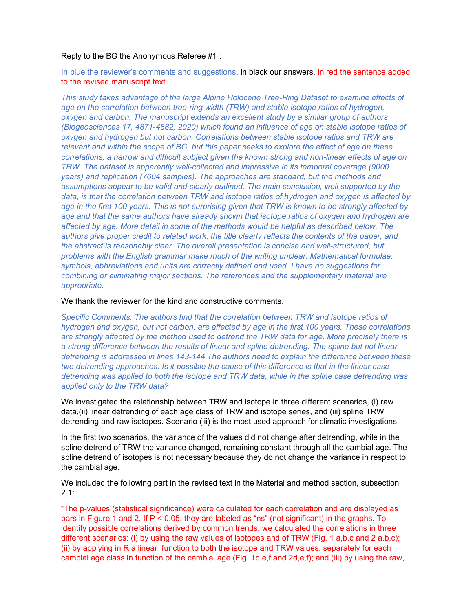#### Reply to the BG the Anonymous Referee #1 :

In blue the reviewer's comments and suggestions, in black our answers, in red the sentence added to the revised manuscript text

This study takes advantage of the large Alpine Holocene Tree-Ring Dataset to examine effects of age on the correlation between tree-ring width (TRW) and stable isotope ratios of hydrogen, oxygen and carbon. The manuscript extends an excellent study by a similar group of authors (Biogeosciences 17, 4871-4882, 2020) which found an influence of age on stable isotope ratios of oxygen and hydrogen but not carbon. Correlations between stable isotope ratios and TRW are relevant and within the scope of BG, but this paper seeks to explore the effect of age on these correlations, a narrow and difficult subject given the known strong and non-linear effects of age on TRW. The dataset is apparently well-collected and impressive in its temporal coverage (9000 years) and replication (7604 samples). The approaches are standard, but the methods and assumptions appear to be valid and clearly outlined. The main conclusion, well supported by the data, is that the correlation between TRW and isotope ratios of hydrogen and oxygen is affected by age in the first 100 years. This is not surprising given that TRW is known to be strongly affected by age and that the same authors have already shown that isotope ratios of oxygen and hydrogen are affected by age. More detail in some of the methods would be helpful as described below. The authors give proper credit to related work, the title clearly reflects the contents of the paper, and the abstract is reasonably clear. The overall presentation is concise and well-structured, but problems with the English grammar make much of the writing unclear. Mathematical formulae, symbols, abbreviations and units are correctly defined and used. I have no suggestions for combining or eliminating major sections. The references and the supplementary material are appropriate.

# We thank the reviewer for the kind and constructive comments.

Specific Comments. The authors find that the correlation between TRW and isotope ratios of hydrogen and oxygen, but not carbon, are affected by age in the first 100 years. These correlations are strongly affected by the method used to detrend the TRW data for age. More precisely there is a strong difference between the results of linear and spline detrending. The spline but not linear detrending is addressed in lines 143-144.The authors need to explain the difference between these two detrending approaches. Is it possible the cause of this difference is that in the linear case detrending was applied to both the isotope and TRW data, while in the spline case detrending was applied only to the TRW data?

We investigated the relationship between TRW and isotope in three different scenarios, (i) raw data,(ii) linear detrending of each age class of TRW and isotope series, and (iii) spline TRW detrending and raw isotopes. Scenario (iii) is the most used approach for climatic investigations.

In the first two scenarios, the variance of the values did not change after detrending, while in the spline detrend of TRW the variance changed, remaining constant through all the cambial age. The spline detrend of isotopes is not necessary because they do not change the variance in respect to the cambial age.

We included the following part in the revised text in the Material and method section, subsection  $2.1:$ 

"The p-values (statistical significance) were calculated for each correlation and are displayed as bars in Figure 1 and 2. If P < 0.05, they are labeled as "ns" (not significant) in the graphs. To identify possible correlations derived by common trends, we calculated the correlations in three different scenarios: (i) by using the raw values of isotopes and of TRW (Fig. 1 a,b,c and 2 a,b,c); (ii) by applying in R a linear function to both the isotope and TRW values, separately for each cambial age class in function of the cambial age (Fig. 1d,e,f and 2d,e,f); and (iii) by using the raw,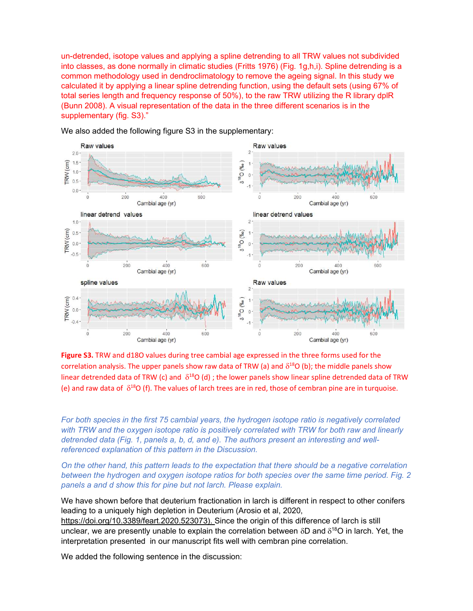un-detrended, isotope values and applying a spline detrending to all TRW values not subdivided into classes, as done normally in climatic studies (Fritts 1976) (Fig. 1g,h,i). Spline detrending is a common methodology used in dendroclimatology to remove the ageing signal. In this study we calculated it by applying a linear spline detrending function, using the default sets (using 67% of total series length and frequency response of 50%), to the raw TRW utilizing the R library dplR (Bunn 2008). A visual representation of the data in the three different scenarios is in the supplementary (fig. S3)."



We also added the following figure S3 in the supplementary:

Figure S3. TRW and d18O values during tree cambial age expressed in the three forms used for the correlation analysis. The upper panels show raw data of TRW (a) and  $\delta^{18}O$  (b); the middle panels show linear detrended data of TRW (c) and  $\delta^{18}O$  (d); the lower panels show linear spline detrended data of TRW (e) and raw data of  $\delta^{18}O$  (f). The values of larch trees are in red, those of cembran pine are in turquoise.

For both species in the first 75 cambial years, the hydrogen isotope ratio is negatively correlated with TRW and the oxygen isotope ratio is positively correlated with TRW for both raw and linearly detrended data (Fig. 1, panels a, b, d, and e). The authors present an interesting and wellreferenced explanation of this pattern in the Discussion.

On the other hand, this pattern leads to the expectation that there should be a negative correlation between the hydrogen and oxygen isotope ratios for both species over the same time period. Fig. 2 panels a and d show this for pine but not larch. Please explain.

We have shown before that deuterium fractionation in larch is different in respect to other conifers leading to a uniquely high depletion in Deuterium (Arosio et al, 2020,

https://doi.org/10.3389/feart.2020.523073). Since the origin of this difference of larch is still unclear, we are presently unable to explain the correlation between  $\delta D$  and  $\delta^{18}O$  in larch. Yet, the interpretation presented in our manuscript fits well with cembran pine correlation.

We added the following sentence in the discussion: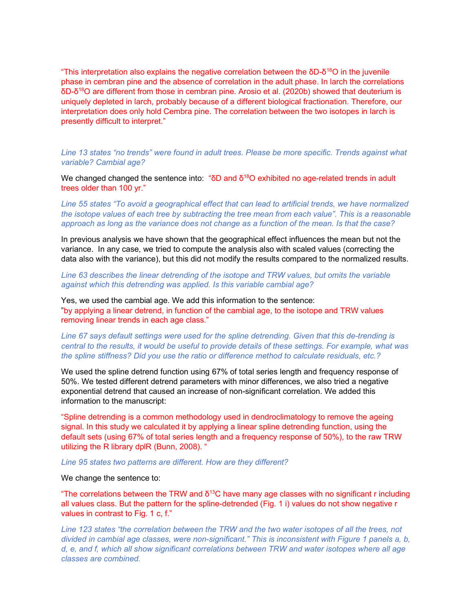"This interpretation also explains the negative correlation between the  $\delta D$ - $\delta^{18}O$  in the juvenile phase in cembran pine and the absence of correlation in the adult phase. In larch the correlations δD-δ<sup>18</sup>O are different from those in cembran pine. Arosio et al. (2020b) showed that deuterium is uniquely depleted in larch, probably because of a different biological fractionation. Therefore, our interpretation does only hold Cembra pine. The correlation between the two isotopes in larch is presently difficult to interpret."

Line 13 states "no trends" were found in adult trees. Please be more specific. Trends against what variable? Cambial age?

We changed changed the sentence into: " $\delta$ D and  $\delta^{18}$ O exhibited no age-related trends in adult trees older than 100 yr."

Line 55 states "To avoid a geographical effect that can lead to artificial trends, we have normalized the isotope values of each tree by subtracting the tree mean from each value". This is a reasonable approach as long as the variance does not change as a function of the mean. Is that the case?

In previous analysis we have shown that the geographical effect influences the mean but not the variance. In any case, we tried to compute the analysis also with scaled values (correcting the data also with the variance), but this did not modify the results compared to the normalized results.

Line 63 describes the linear detrending of the isotope and TRW values, but omits the variable against which this detrending was applied. Is this variable cambial age?

Yes, we used the cambial age. We add this information to the sentence: "by applying a linear detrend, in function of the cambial age, to the isotope and TRW values removing linear trends in each age class."

Line 67 says default settings were used for the spline detrending. Given that this de-trending is central to the results, it would be useful to provide details of these settings. For example, what was the spline stiffness? Did you use the ratio or difference method to calculate residuals, etc.?

We used the spline detrend function using 67% of total series length and frequency response of 50%. We tested different detrend parameters with minor differences, we also tried a negative exponential detrend that caused an increase of non-significant correlation. We added this information to the manuscript:

"Spline detrending is a common methodology used in dendroclimatology to remove the ageing signal. In this study we calculated it by applying a linear spline detrending function, using the default sets (using 67% of total series length and a frequency response of 50%), to the raw TRW utilizing the R library dplR (Bunn, 2008). "

Line 95 states two patterns are different. How are they different?

#### We change the sentence to:

"The correlations between the TRW and  $\delta^{13}$ C have many age classes with no significant r including all values class. But the pattern for the spline-detrended (Fig. 1 i) values do not show negative r values in contrast to Fig. 1 c, f."

Line 123 states "the correlation between the TRW and the two water isotopes of all the trees, not divided in cambial age classes, were non-significant." This is inconsistent with Figure 1 panels a, b, d, e, and f, which all show significant correlations between TRW and water isotopes where all age classes are combined.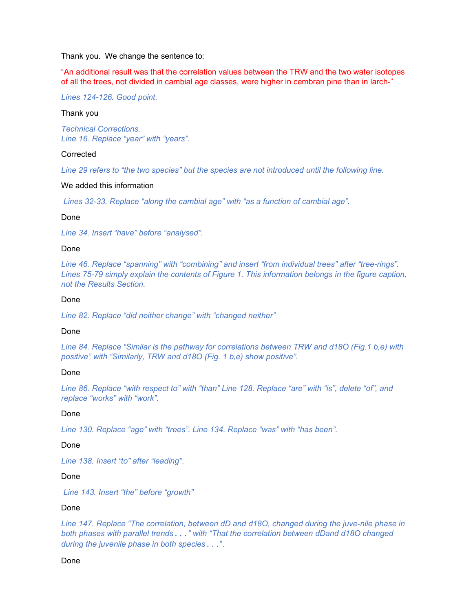Thank you. We change the sentence to:

"An additional result was that the correlation values between the TRW and the two water isotopes of all the trees, not divided in cambial age classes, were higher in cembran pine than in larch-"

Lines 124-126. Good point.

### Thank you

Technical Corrections. Line 16. Replace "year" with "years".

### **Corrected**

Line 29 refers to "the two species" but the species are not introduced until the following line.

#### We added this information

Lines 32-33. Replace "along the cambial age" with "as a function of cambial age".

### Done

Line 34. Insert "have" before "analysed".

#### Done

Line 46. Replace "spanning" with "combining" and insert "from individual trees" after "tree-rings". Lines 75-79 simply explain the contents of Figure 1. This information belongs in the figure caption, not the Results Section.

#### Done

Line 82. Replace "did neither change" with "changed neither"

# Done

Line 84. Replace "Similar is the pathway for correlations between TRW and d18O (Fig.1 b,e) with positive" with "Similarly, TRW and d18O (Fig. 1 b,e) show positive".

### Done

Line 86. Replace "with respect to" with "than" Line 128. Replace "are" with "is", delete "of", and replace "works" with "work".

# Done

Line 130. Replace "age" with "trees". Line 134. Replace "was" with "has been".

# Done

Line 138. Insert "to" after "leading".

### Done

Line 143. Insert "the" before "growth"

#### Done

Line 147. Replace "The correlation, between dD and d18O, changed during the juve-nile phase in both phases with parallel trends..." with "That the correlation between dDand d18O changed during the juvenile phase in both species...".

### Done